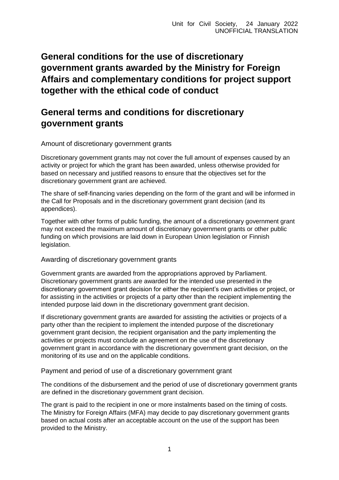## **General conditions for the use of discretionary government grants awarded by the Ministry for Foreign Affairs and complementary conditions for project support together with the ethical code of conduct**

## **General terms and conditions for discretionary government grants**

Amount of discretionary government grants

Discretionary government grants may not cover the full amount of expenses caused by an activity or project for which the grant has been awarded, unless otherwise provided for based on necessary and justified reasons to ensure that the objectives set for the discretionary government grant are achieved.

The share of self-financing varies depending on the form of the grant and will be informed in the Call for Proposals and in the discretionary government grant decision (and its appendices).

Together with other forms of public funding, the amount of a discretionary government grant may not exceed the maximum amount of discretionary government grants or other public funding on which provisions are laid down in European Union legislation or Finnish legislation.

Awarding of discretionary government grants

Government grants are awarded from the appropriations approved by Parliament. Discretionary government grants are awarded for the intended use presented in the discretionary government grant decision for either the recipient's own activities or project, or for assisting in the activities or projects of a party other than the recipient implementing the intended purpose laid down in the discretionary government grant decision.

If discretionary government grants are awarded for assisting the activities or projects of a party other than the recipient to implement the intended purpose of the discretionary government grant decision, the recipient organisation and the party implementing the activities or projects must conclude an agreement on the use of the discretionary government grant in accordance with the discretionary government grant decision, on the monitoring of its use and on the applicable conditions.

Payment and period of use of a discretionary government grant

The conditions of the disbursement and the period of use of discretionary government grants are defined in the discretionary government grant decision.

The grant is paid to the recipient in one or more instalments based on the timing of costs. The Ministry for Foreign Affairs (MFA) may decide to pay discretionary government grants based on actual costs after an acceptable account on the use of the support has been provided to the Ministry.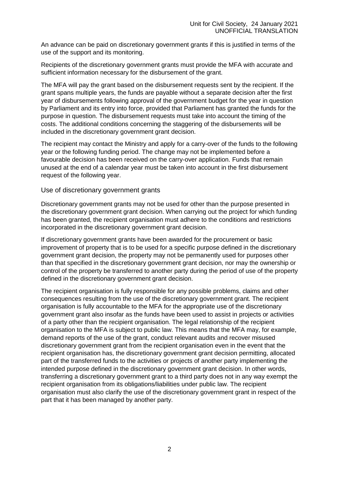An advance can be paid on discretionary government grants if this is justified in terms of the use of the support and its monitoring.

Recipients of the discretionary government grants must provide the MFA with accurate and sufficient information necessary for the disbursement of the grant.

The MFA will pay the grant based on the disbursement requests sent by the recipient. If the grant spans multiple years, the funds are payable without a separate decision after the first year of disbursements following approval of the government budget for the year in question by Parliament and its entry into force, provided that Parliament has granted the funds for the purpose in question. The disbursement requests must take into account the timing of the costs. The additional conditions concerning the staggering of the disbursements will be included in the discretionary government grant decision.

The recipient may contact the Ministry and apply for a carry-over of the funds to the following year or the following funding period. The change may not be implemented before a favourable decision has been received on the carry-over application. Funds that remain unused at the end of a calendar year must be taken into account in the first disbursement request of the following year.

#### Use of discretionary government grants

Discretionary government grants may not be used for other than the purpose presented in the discretionary government grant decision. When carrying out the project for which funding has been granted, the recipient organisation must adhere to the conditions and restrictions incorporated in the discretionary government grant decision.

If discretionary government grants have been awarded for the procurement or basic improvement of property that is to be used for a specific purpose defined in the discretionary government grant decision, the property may not be permanently used for purposes other than that specified in the discretionary government grant decision, nor may the ownership or control of the property be transferred to another party during the period of use of the property defined in the discretionary government grant decision.

The recipient organisation is fully responsible for any possible problems, claims and other consequences resulting from the use of the discretionary government grant. The recipient organisation is fully accountable to the MFA for the appropriate use of the discretionary government grant also insofar as the funds have been used to assist in projects or activities of a party other than the recipient organisation. The legal relationship of the recipient organisation to the MFA is subject to public law. This means that the MFA may, for example, demand reports of the use of the grant, conduct relevant audits and recover misused discretionary government grant from the recipient organisation even in the event that the recipient organisation has, the discretionary government grant decision permitting, allocated part of the transferred funds to the activities or projects of another party implementing the intended purpose defined in the discretionary government grant decision. In other words, transferring a discretionary government grant to a third party does not in any way exempt the recipient organisation from its obligations/liabilities under public law. The recipient organisation must also clarify the use of the discretionary government grant in respect of the part that it has been managed by another party.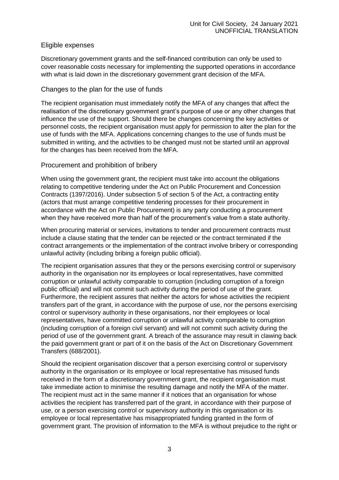### Eligible expenses

Discretionary government grants and the self-financed contribution can only be used to cover reasonable costs necessary for implementing the supported operations in accordance with what is laid down in the discretionary government grant decision of the MFA.

## Changes to the plan for the use of funds

The recipient organisation must immediately notify the MFA of any changes that affect the realisation of the discretionary government grant's purpose of use or any other changes that influence the use of the support. Should there be changes concerning the key activities or personnel costs, the recipient organisation must apply for permission to alter the plan for the use of funds with the MFA. Applications concerning changes to the use of funds must be submitted in writing, and the activities to be changed must not be started until an approval for the changes has been received from the MFA.

#### Procurement and prohibition of bribery

When using the government grant, the recipient must take into account the obligations relating to competitive tendering under the Act on Public Procurement and Concession Contracts (1397/2016). Under subsection 5 of section 5 of the Act, a contracting entity (actors that must arrange competitive tendering processes for their procurement in accordance with the Act on Public Procurement) is any party conducting a procurement when they have received more than half of the procurement's value from a state authority.

When procuring material or services, invitations to tender and procurement contracts must include a clause stating that the tender can be rejected or the contract terminated if the contract arrangements or the implementation of the contract involve bribery or corresponding unlawful activity (including bribing a foreign public official).

The recipient organisation assures that they or the persons exercising control or supervisory authority in the organisation nor its employees or local representatives, have committed corruption or unlawful activity comparable to corruption (including corruption of a foreign public official) and will not commit such activity during the period of use of the grant. Furthermore, the recipient assures that neither the actors for whose activities the recipient transfers part of the grant, in accordance with the purpose of use, nor the persons exercising control or supervisory authority in these organisations, nor their employees or local representatives, have committed corruption or unlawful activity comparable to corruption (including corruption of a foreign civil servant) and will not commit such activity during the period of use of the government grant. A breach of the assurance may result in clawing back the paid government grant or part of it on the basis of the Act on Discretionary Government Transfers (688/2001).

Should the recipient organisation discover that a person exercising control or supervisory authority in the organisation or its employee or local representative has misused funds received in the form of a discretionary government grant, the recipient organisation must take immediate action to minimise the resulting damage and notify the MFA of the matter. The recipient must act in the same manner if it notices that an organisation for whose activities the recipient has transferred part of the grant, in accordance with their purpose of use, or a person exercising control or supervisory authority in this organisation or its employee or local representative has misappropriated funding granted in the form of government grant. The provision of information to the MFA is without prejudice to the right or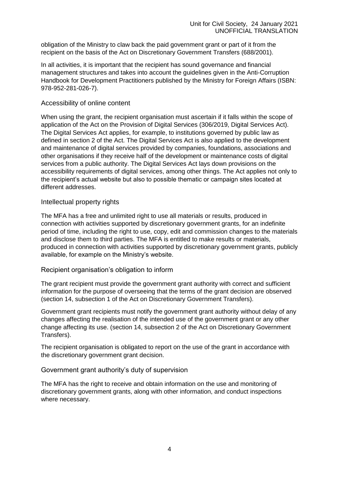obligation of the Ministry to claw back the paid government grant or part of it from the recipient on the basis of the Act on Discretionary Government Transfers (688/2001).

In all activities, it is important that the recipient has sound governance and financial management structures and takes into account the guidelines given in the Anti-Corruption Handbook for Development Practitioners published by the Ministry for Foreign Affairs (ISBN: 978-952-281-026-7).

#### Accessibility of online content

When using the grant, the recipient organisation must ascertain if it falls within the scope of application of the Act on the Provision of Digital Services (306/2019, Digital Services Act). The Digital Services Act applies, for example, to institutions governed by public law as defined in section 2 of the Act. The Digital Services Act is also applied to the development and maintenance of digital services provided by companies, foundations, associations and other organisations if they receive half of the development or maintenance costs of digital services from a public authority. The Digital Services Act lays down provisions on the accessibility requirements of digital services, among other things. The Act applies not only to the recipient's actual website but also to possible thematic or campaign sites located at different addresses.

#### Intellectual property rights

The MFA has a free and unlimited right to use all materials or results, produced in connection with activities supported by discretionary government grants, for an indefinite period of time, including the right to use, copy, edit and commission changes to the materials and disclose them to third parties. The MFA is entitled to make results or materials, produced in connection with activities supported by discretionary government grants, publicly available, for example on the Ministry's website.

#### Recipient organisation's obligation to inform

The grant recipient must provide the government grant authority with correct and sufficient information for the purpose of overseeing that the terms of the grant decision are observed (section 14, subsection 1 of the Act on Discretionary Government Transfers).

Government grant recipients must notify the government grant authority without delay of any changes affecting the realisation of the intended use of the government grant or any other change affecting its use. (section 14, subsection 2 of the Act on Discretionary Government Transfers).

The recipient organisation is obligated to report on the use of the grant in accordance with the discretionary government grant decision.

#### Government grant authority's duty of supervision

The MFA has the right to receive and obtain information on the use and monitoring of discretionary government grants, along with other information, and conduct inspections where necessary.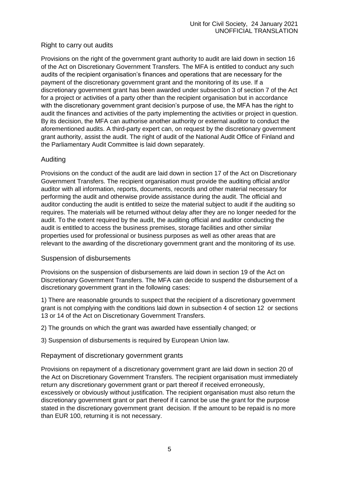## Right to carry out audits

Provisions on the right of the government grant authority to audit are laid down in section 16 of the Act on Discretionary Government Transfers. The MFA is entitled to conduct any such audits of the recipient organisation's finances and operations that are necessary for the payment of the discretionary government grant and the monitoring of its use. If a discretionary government grant has been awarded under subsection 3 of section 7 of the Act for a project or activities of a party other than the recipient organisation but in accordance with the discretionary government grant decision's purpose of use, the MFA has the right to audit the finances and activities of the party implementing the activities or project in question. By its decision, the MFA can authorise another authority or external auditor to conduct the aforementioned audits. A third-party expert can, on request by the discretionary government grant authority, assist the audit. The right of audit of the National Audit Office of Finland and the Parliamentary Audit Committee is laid down separately.

## Auditing

Provisions on the conduct of the audit are laid down in section 17 of the Act on Discretionary Government Transfers. The recipient organisation must provide the auditing official and/or auditor with all information, reports, documents, records and other material necessary for performing the audit and otherwise provide assistance during the audit. The official and auditor conducting the audit is entitled to seize the material subject to audit if the auditing so requires. The materials will be returned without delay after they are no longer needed for the audit. To the extent required by the audit, the auditing official and auditor conducting the audit is entitled to access the business premises, storage facilities and other similar properties used for professional or business purposes as well as other areas that are relevant to the awarding of the discretionary government grant and the monitoring of its use.

## Suspension of disbursements

Provisions on the suspension of disbursements are laid down in section 19 of the Act on Discretionary Government Transfers. The MFA can decide to suspend the disbursement of a discretionary government grant in the following cases:

1) There are reasonable grounds to suspect that the recipient of a discretionary government grant is not complying with the conditions laid down in subsection 4 of section 12 or sections 13 or 14 of the Act on Discretionary Government Transfers.

2) The grounds on which the grant was awarded have essentially changed; or

3) Suspension of disbursements is required by European Union law.

## Repayment of discretionary government grants

Provisions on repayment of a discretionary government grant are laid down in section 20 of the Act on Discretionary Government Transfers. The recipient organisation must immediately return any discretionary government grant or part thereof if received erroneously, excessively or obviously without justification. The recipient organisation must also return the discretionary government grant or part thereof if it cannot be use the grant for the purpose stated in the discretionary government grant decision. If the amount to be repaid is no more than EUR 100, returning it is not necessary.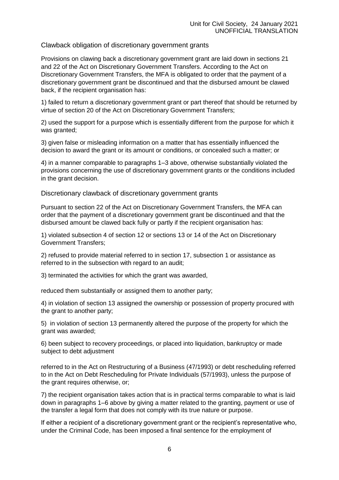Clawback obligation of discretionary government grants

Provisions on clawing back a discretionary government grant are laid down in sections 21 and 22 of the Act on Discretionary Government Transfers. According to the Act on Discretionary Government Transfers, the MFA is obligated to order that the payment of a discretionary government grant be discontinued and that the disbursed amount be clawed back, if the recipient organisation has:

1) failed to return a discretionary government grant or part thereof that should be returned by virtue of section 20 of the Act on Discretionary Government Transfers;

2) used the support for a purpose which is essentially different from the purpose for which it was granted;

3) given false or misleading information on a matter that has essentially influenced the decision to award the grant or its amount or conditions, or concealed such a matter; or

4) in a manner comparable to paragraphs 1–3 above, otherwise substantially violated the provisions concerning the use of discretionary government grants or the conditions included in the grant decision.

Discretionary clawback of discretionary government grants

Pursuant to section 22 of the Act on Discretionary Government Transfers, the MFA can order that the payment of a discretionary government grant be discontinued and that the disbursed amount be clawed back fully or partly if the recipient organisation has:

1) violated subsection 4 of section 12 or sections 13 or 14 of the Act on Discretionary Government Transfers;

2) refused to provide material referred to in section 17, subsection 1 or assistance as referred to in the subsection with regard to an audit;

3) terminated the activities for which the grant was awarded,

reduced them substantially or assigned them to another party;

4) in violation of section 13 assigned the ownership or possession of property procured with the grant to another party;

5) in violation of section 13 permanently altered the purpose of the property for which the grant was awarded;

6) been subject to recovery proceedings, or placed into liquidation, bankruptcy or made subject to debt adjustment

referred to in the Act on Restructuring of a Business (47/1993) or debt rescheduling referred to in the Act on Debt Rescheduling for Private Individuals (57/1993), unless the purpose of the grant requires otherwise, or;

7) the recipient organisation takes action that is in practical terms comparable to what is laid down in paragraphs 1–6 above by giving a matter related to the granting, payment or use of the transfer a legal form that does not comply with its true nature or purpose.

If either a recipient of a discretionary government grant or the recipient's representative who, under the Criminal Code, has been imposed a final sentence for the employment of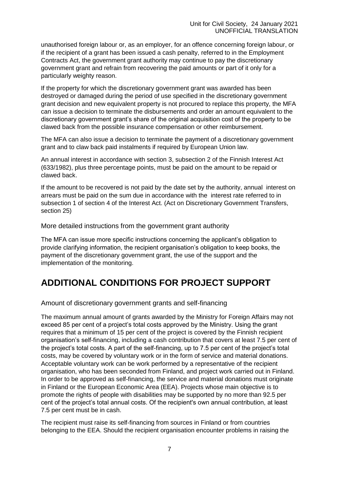unauthorised foreign labour or, as an employer, for an offence concerning foreign labour, or if the recipient of a grant has been issued a cash penalty, referred to in the Employment Contracts Act, the government grant authority may continue to pay the discretionary government grant and refrain from recovering the paid amounts or part of it only for a particularly weighty reason.

If the property for which the discretionary government grant was awarded has been destroyed or damaged during the period of use specified in the discretionary government grant decision and new equivalent property is not procured to replace this property, the MFA can issue a decision to terminate the disbursements and order an amount equivalent to the discretionary government grant's share of the original acquisition cost of the property to be clawed back from the possible insurance compensation or other reimbursement.

The MFA can also issue a decision to terminate the payment of a discretionary government grant and to claw back paid instalments if required by European Union law.

An annual interest in accordance with section 3, subsection 2 of the Finnish Interest Act (633/1982), plus three percentage points, must be paid on the amount to be repaid or clawed back.

If the amount to be recovered is not paid by the date set by the authority, annual interest on arrears must be paid on the sum due in accordance with the interest rate referred to in subsection 1 of section 4 of the Interest Act. (Act on Discretionary Government Transfers, section 25)

More detailed instructions from the government grant authority

The MFA can issue more specific instructions concerning the applicant's obligation to provide clarifying information, the recipient organisation's obligation to keep books, the payment of the discretionary government grant, the use of the support and the implementation of the monitoring.

# **ADDITIONAL CONDITIONS FOR PROJECT SUPPORT**

Amount of discretionary government grants and self-financing

The maximum annual amount of grants awarded by the Ministry for Foreign Affairs may not exceed 85 per cent of a project's total costs approved by the Ministry. Using the grant requires that a minimum of 15 per cent of the project is covered by the Finnish recipient organisation's self-financing, including a cash contribution that covers at least 7.5 per cent of the project's total costs. A part of the self-financing, up to 7.5 per cent of the project's total costs, may be covered by voluntary work or in the form of service and material donations. Acceptable voluntary work can be work performed by a representative of the recipient organisation, who has been seconded from Finland, and project work carried out in Finland. In order to be approved as self-financing, the service and material donations must originate in Finland or the European Economic Area (EEA). Projects whose main objective is to promote the rights of people with disabilities may be supported by no more than 92.5 per cent of the project's total annual costs. Of the recipient's own annual contribution, at least 7.5 per cent must be in cash.

The recipient must raise its self-financing from sources in Finland or from countries belonging to the EEA. Should the recipient organisation encounter problems in raising the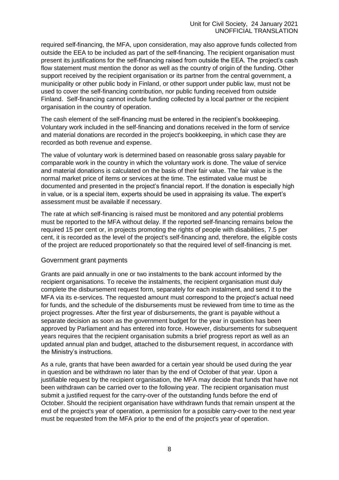required self-financing, the MFA, upon consideration, may also approve funds collected from outside the EEA to be included as part of the self-financing. The recipient organisation must present its justifications for the self-financing raised from outside the EEA. The project's cash flow statement must mention the donor as well as the country of origin of the funding. Other support received by the recipient organisation or its partner from the central government, a municipality or other public body in Finland, or other support under public law, must not be used to cover the self-financing contribution, nor public funding received from outside Finland. Self-financing cannot include funding collected by a local partner or the recipient organisation in the country of operation.

The cash element of the self-financing must be entered in the recipient's bookkeeping. Voluntary work included in the self-financing and donations received in the form of service and material donations are recorded in the project's bookkeeping, in which case they are recorded as both revenue and expense.

The value of voluntary work is determined based on reasonable gross salary payable for comparable work in the country in which the voluntary work is done. The value of service and material donations is calculated on the basis of their fair value. The fair value is the normal market price of items or services at the time. The estimated value must be documented and presented in the project's financial report. If the donation is especially high in value, or is a special item, experts should be used in appraising its value. The expert's assessment must be available if necessary.

The rate at which self-financing is raised must be monitored and any potential problems must be reported to the MFA without delay. If the reported self-financing remains below the required 15 per cent or, in projects promoting the rights of people with disabilities, 7.5 per cent, it is recorded as the level of the project's self-financing and, therefore, the eligible costs of the project are reduced proportionately so that the required level of self-financing is met.

#### Government grant payments

Grants are paid annually in one or two instalments to the bank account informed by the recipient organisations. To receive the instalments, the recipient organisation must duly complete the disbursement request form, separately for each instalment, and send it to the MFA via its e-services. The requested amount must correspond to the project's actual need for funds, and the schedule of the disbursements must be reviewed from time to time as the project progresses. After the first year of disbursements, the grant is payable without a separate decision as soon as the government budget for the year in question has been approved by Parliament and has entered into force. However, disbursements for subsequent years requires that the recipient organisation submits a brief progress report as well as an updated annual plan and budget, attached to the disbursement request, in accordance with the Ministry's instructions.

As a rule, grants that have been awarded for a certain year should be used during the year in question and be withdrawn no later than by the end of October of that year. Upon a justifiable request by the recipient organisation, the MFA may decide that funds that have not been withdrawn can be carried over to the following year. The recipient organisation must submit a justified request for the carry-over of the outstanding funds before the end of October. Should the recipient organisation have withdrawn funds that remain unspent at the end of the project's year of operation, a permission for a possible carry-over to the next year must be requested from the MFA prior to the end of the project's year of operation.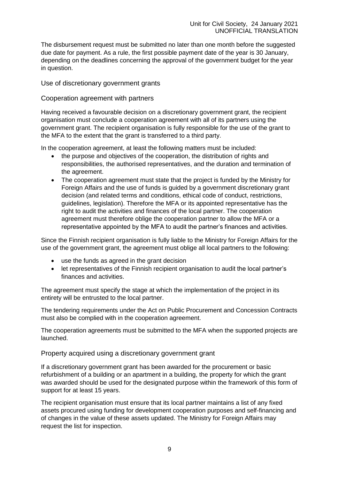The disbursement request must be submitted no later than one month before the suggested due date for payment. As a rule, the first possible payment date of the year is 30 January, depending on the deadlines concerning the approval of the government budget for the year in question.

## Use of discretionary government grants

#### Cooperation agreement with partners

Having received a favourable decision on a discretionary government grant, the recipient organisation must conclude a cooperation agreement with all of its partners using the government grant. The recipient organisation is fully responsible for the use of the grant to the MFA to the extent that the grant is transferred to a third party.

In the cooperation agreement, at least the following matters must be included:

- the purpose and objectives of the cooperation, the distribution of rights and responsibilities, the authorised representatives, and the duration and termination of the agreement.
- The cooperation agreement must state that the project is funded by the Ministry for Foreign Affairs and the use of funds is guided by a government discretionary grant decision (and related terms and conditions, ethical code of conduct, restrictions, guidelines, legislation). Therefore the MFA or its appointed representative has the right to audit the activities and finances of the local partner. The cooperation agreement must therefore oblige the cooperation partner to allow the MFA or a representative appointed by the MFA to audit the partner's finances and activities.

Since the Finnish recipient organisation is fully liable to the Ministry for Foreign Affairs for the use of the government grant, the agreement must oblige all local partners to the following:

- use the funds as agreed in the grant decision
- let representatives of the Finnish recipient organisation to audit the local partner's finances and activities.

The agreement must specify the stage at which the implementation of the project in its entirety will be entrusted to the local partner.

The tendering requirements under the Act on Public Procurement and Concession Contracts must also be complied with in the cooperation agreement.

The cooperation agreements must be submitted to the MFA when the supported projects are launched.

Property acquired using a discretionary government grant

If a discretionary government grant has been awarded for the procurement or basic refurbishment of a building or an apartment in a building, the property for which the grant was awarded should be used for the designated purpose within the framework of this form of support for at least 15 years.

The recipient organisation must ensure that its local partner maintains a list of any fixed assets procured using funding for development cooperation purposes and self-financing and of changes in the value of these assets updated. The Ministry for Foreign Affairs may request the list for inspection.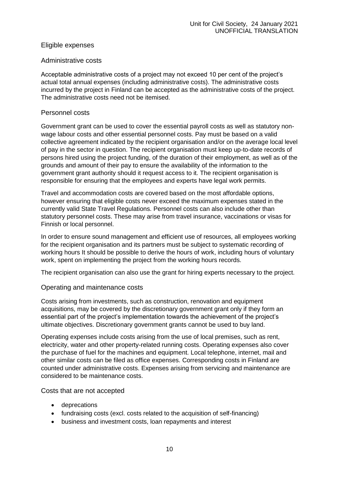## Eligible expenses

#### Administrative costs

Acceptable administrative costs of a project may not exceed 10 per cent of the project's actual total annual expenses (including administrative costs). The administrative costs incurred by the project in Finland can be accepted as the administrative costs of the project. The administrative costs need not be itemised.

#### Personnel costs

Government grant can be used to cover the essential payroll costs as well as statutory nonwage labour costs and other essential personnel costs. Pay must be based on a valid collective agreement indicated by the recipient organisation and/or on the average local level of pay in the sector in question. The recipient organisation must keep up-to-date records of persons hired using the project funding, of the duration of their employment, as well as of the grounds and amount of their pay to ensure the availability of the information to the government grant authority should it request access to it. The recipient organisation is responsible for ensuring that the employees and experts have legal work permits.

Travel and accommodation costs are covered based on the most affordable options, however ensuring that eligible costs never exceed the maximum expenses stated in the currently valid State Travel Regulations. Personnel costs can also include other than statutory personnel costs. These may arise from travel insurance, vaccinations or visas for Finnish or local personnel.

In order to ensure sound management and efficient use of resources, all employees working for the recipient organisation and its partners must be subject to systematic recording of working hours It should be possible to derive the hours of work, including hours of voluntary work, spent on implementing the project from the working hours records.

The recipient organisation can also use the grant for hiring experts necessary to the project.

#### Operating and maintenance costs

Costs arising from investments, such as construction, renovation and equipment acquisitions, may be covered by the discretionary government grant only if they form an essential part of the project's implementation towards the achievement of the project's ultimate objectives. Discretionary government grants cannot be used to buy land.

Operating expenses include costs arising from the use of local premises, such as rent, electricity, water and other property-related running costs. Operating expenses also cover the purchase of fuel for the machines and equipment. Local telephone, internet, mail and other similar costs can be filed as office expenses. Corresponding costs in Finland are counted under administrative costs. Expenses arising from servicing and maintenance are considered to be maintenance costs.

Costs that are not accepted

- deprecations
- fundraising costs (excl. costs related to the acquisition of self-financing)
- business and investment costs, loan repayments and interest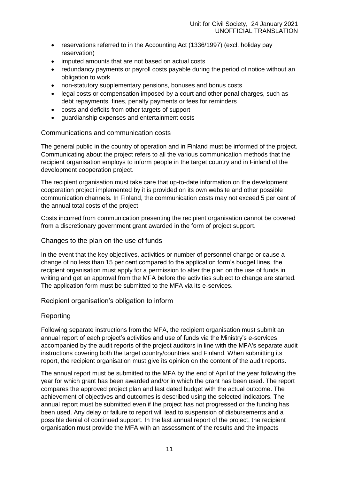- reservations referred to in the Accounting Act (1336/1997) (excl. holiday pay reservation)
- imputed amounts that are not based on actual costs
- redundancy payments or payroll costs payable during the period of notice without an obligation to work
- non-statutory supplementary pensions, bonuses and bonus costs
- legal costs or compensation imposed by a court and other penal charges, such as debt repayments, fines, penalty payments or fees for reminders
- costs and deficits from other targets of support
- guardianship expenses and entertainment costs

## Communications and communication costs

The general public in the country of operation and in Finland must be informed of the project. Communicating about the project refers to all the various communication methods that the recipient organisation employs to inform people in the target country and in Finland of the development cooperation project.

The recipient organisation must take care that up-to-date information on the development cooperation project implemented by it is provided on its own website and other possible communication channels. In Finland, the communication costs may not exceed 5 per cent of the annual total costs of the project.

Costs incurred from communication presenting the recipient organisation cannot be covered from a discretionary government grant awarded in the form of project support.

## Changes to the plan on the use of funds

In the event that the key objectives, activities or number of personnel change or cause a change of no less than 15 per cent compared to the application form's budget lines, the recipient organisation must apply for a permission to alter the plan on the use of funds in writing and get an approval from the MFA before the activities subject to change are started. The application form must be submitted to the MFA via its e-services.

Recipient organisation's obligation to inform

## Reporting

Following separate instructions from the MFA, the recipient organisation must submit an annual report of each project's activities and use of funds via the Ministry's e-services, accompanied by the audit reports of the project auditors in line with the MFA's separate audit instructions covering both the target country/countries and Finland. When submitting its report, the recipient organisation must give its opinion on the content of the audit reports.

The annual report must be submitted to the MFA by the end of April of the year following the year for which grant has been awarded and/or in which the grant has been used. The report compares the approved project plan and last dated budget with the actual outcome. The achievement of objectives and outcomes is described using the selected indicators. The annual report must be submitted even if the project has not progressed or the funding has been used. Any delay or failure to report will lead to suspension of disbursements and a possible denial of continued support. In the last annual report of the project, the recipient organisation must provide the MFA with an assessment of the results and the impacts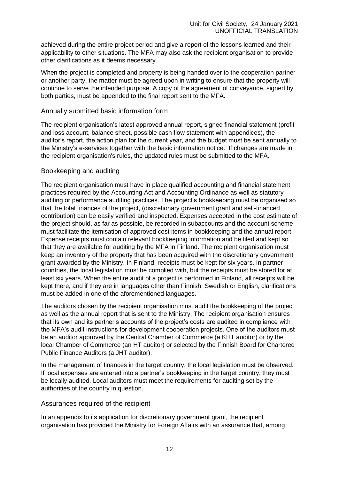achieved during the entire project period and give a report of the lessons learned and their applicability to other situations. The MFA may also ask the recipient organisation to provide other clarifications as it deems necessary.

When the project is completed and property is being handed over to the cooperation partner or another party, the matter must be agreed upon in writing to ensure that the property will continue to serve the intended purpose. A copy of the agreement of conveyance, signed by both parties, must be appended to the final report sent to the MFA.

#### Annually submitted basic information form

The recipient organisation's latest approved annual report, signed financial statement (profit and loss account, balance sheet, possible cash flow statement with appendices), the auditor's report, the action plan for the current year, and the budget must be sent annually to the Ministry's e-services together with the basic information notice. If changes are made in the recipient organisation's rules, the updated rules must be submitted to the MFA.

## Bookkeeping and auditing

The recipient organisation must have in place qualified accounting and financial statement practices required by the Accounting Act and Accounting Ordinance as well as statutory auditing or performance auditing practices. The project's bookkeeping must be organised so that the total finances of the project, (discretionary government grant and self-financed contribution) can be easily verified and inspected. Expenses accepted in the cost estimate of the project should, as far as possible, be recorded in subaccounts and the account scheme must facilitate the itemisation of approved cost items in bookkeeping and the annual report. Expense receipts must contain relevant bookkeeping information and be filed and kept so that they are available for auditing by the MFA in Finland. The recipient organisation must keep an inventory of the property that has been acquired with the discretionary government grant awarded by the Ministry. In Finland, receipts must be kept for six years. In partner countries, the local legislation must be complied with, but the receipts must be stored for at least six years. When the entire audit of a project is performed in Finland, all receipts will be kept there, and if they are in languages other than Finnish, Swedish or English, clarifications must be added in one of the aforementioned languages.

The auditors chosen by the recipient organisation must audit the bookkeeping of the project as well as the annual report that is sent to the Ministry. The recipient organisation ensures that its own and its partner's accounts of the project's costs are audited in compliance with the MFA's audit instructions for development cooperation projects. One of the auditors must be an auditor approved by the Central Chamber of Commerce (a KHT auditor) or by the local Chamber of Commerce (an HT auditor) or selected by the Finnish Board for Chartered Public Finance Auditors (a JHT auditor).

In the management of finances in the target country, the local legislation must be observed. If local expenses are entered into a partner's bookkeeping in the target country, they must be locally audited. Local auditors must meet the requirements for auditing set by the authorities of the country in question.

#### Assurances required of the recipient

In an appendix to its application for discretionary government grant, the recipient organisation has provided the Ministry for Foreign Affairs with an assurance that, among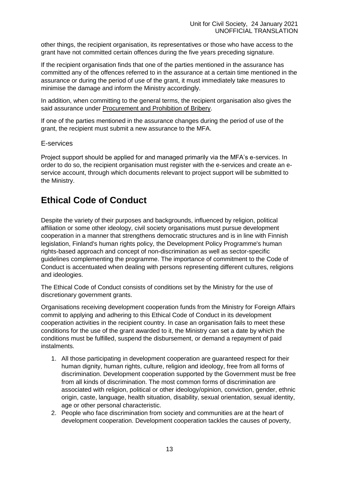other things, the recipient organisation, its representatives or those who have access to the grant have not committed certain offences during the five years preceding signature.

If the recipient organisation finds that one of the parties mentioned in the assurance has committed any of the offences referred to in the assurance at a certain time mentioned in the assurance or during the period of use of the grant, it must immediately take measures to minimise the damage and inform the Ministry accordingly.

In addition, when committing to the general terms, the recipient organisation also gives the said assurance under Procurement and Prohibition of Bribery.

If one of the parties mentioned in the assurance changes during the period of use of the grant, the recipient must submit a new assurance to the MFA.

E-services

Project support should be applied for and managed primarily via the MFA's e-services. In order to do so, the recipient organisation must register with the e-services and create an eservice account, through which documents relevant to project support will be submitted to the Ministry.

# **Ethical Code of Conduct**

Despite the variety of their purposes and backgrounds, influenced by religion, political affiliation or some other ideology, civil society organisations must pursue development cooperation in a manner that strengthens democratic structures and is in line with Finnish legislation, Finland's human rights policy, the Development Policy Programme's human rights-based approach and concept of non-discrimination as well as sector-specific guidelines complementing the programme. The importance of commitment to the Code of Conduct is accentuated when dealing with persons representing different cultures, religions and ideologies.

The Ethical Code of Conduct consists of conditions set by the Ministry for the use of discretionary government grants.

Organisations receiving development cooperation funds from the Ministry for Foreign Affairs commit to applying and adhering to this Ethical Code of Conduct in its development cooperation activities in the recipient country. In case an organisation fails to meet these conditions for the use of the grant awarded to it, the Ministry can set a date by which the conditions must be fulfilled, suspend the disbursement, or demand a repayment of paid instalments.

- 1. All those participating in development cooperation are guaranteed respect for their human dignity, human rights, culture, religion and ideology, free from all forms of discrimination. Development cooperation supported by the Government must be free from all kinds of discrimination. The most common forms of discrimination are associated with religion, political or other ideology/opinion, conviction, gender, ethnic origin, caste, language, health situation, disability, sexual orientation, sexual identity, age or other personal characteristic.
- 2. People who face discrimination from society and communities are at the heart of development cooperation. Development cooperation tackles the causes of poverty,